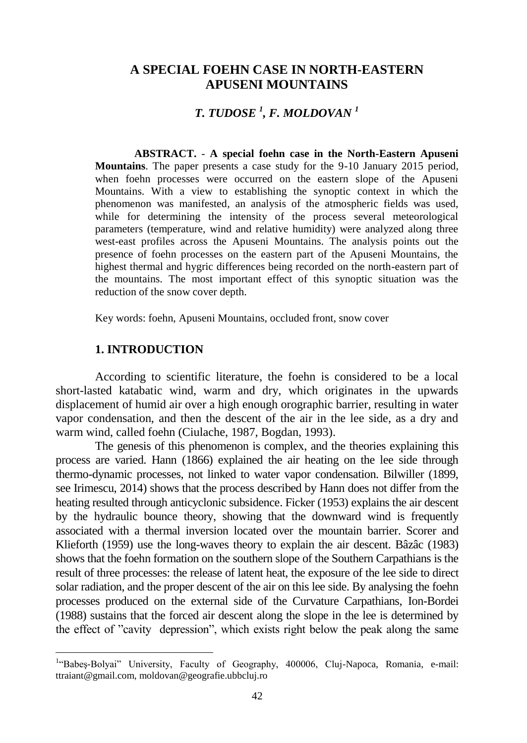# **A SPECIAL FOEHN CASE IN NORTH-EASTERN APUSENI MOUNTAINS**

# *T. TUDOSE <sup>1</sup> , F. MOLDOVAN <sup>1</sup>*

**ABSTRACT.** - **A special foehn case in the North-Eastern Apuseni Mountains**. The paper presents a case study for the 9-10 January 2015 period, when foehn processes were occurred on the eastern slope of the Apuseni Mountains. With a view to establishing the synoptic context in which the phenomenon was manifested, an analysis of the atmospheric fields was used, while for determining the intensity of the process several meteorological parameters (temperature, wind and relative humidity) were analyzed along three west-east profiles across the Apuseni Mountains. The analysis points out the presence of foehn processes on the eastern part of the Apuseni Mountains, the highest thermal and hygric differences being recorded on the north-eastern part of the mountains. The most important effect of this synoptic situation was the reduction of the snow cover depth.

Key words: foehn, Apuseni Mountains, occluded front, snow cover

#### **1. INTRODUCTION**

 $\overline{a}$ 

According to scientific literature, the foehn is considered to be a local short-lasted katabatic wind, warm and dry, which originates in the upwards displacement of humid air over a high enough orographic barrier, resulting in water vapor condensation, and then the descent of the air in the lee side, as a dry and warm wind, called foehn (Ciulache, 1987, Bogdan, 1993).

The genesis of this phenomenon is complex, and the theories explaining this process are varied. Hann (1866) explained the air heating on the lee side through thermo-dynamic processes, not linked to water vapor condensation. Bilwiller (1899, see Irimescu, 2014) shows that the process described by Hann does not differ from the heating resulted through anticyclonic subsidence. Ficker (1953) explains the air descent by the hydraulic bounce theory, showing that the downward wind is frequently associated with a thermal inversion located over the mountain barrier. Scorer and Klieforth (1959) use the long-waves theory to explain the air descent. Bâzâc (1983) shows that the foehn formation on the southern slope of the Southern Carpathians is the result of three processes: the release of latent heat, the exposure of the lee side to direct solar radiation, and the proper descent of the air on this lee side. By analysing the foehn processes produced on the external side of the Curvature Carpathians, Ion-Bordei (1988) sustains that the forced air descent along the slope in the lee is determined by the effect of "cavity depression", which exists right below the peak along the same

<sup>&</sup>lt;sup>1</sup>"Babeş-Bolyai" University, Faculty of Geography, 400006, Cluj-Napoca, Romania, e-mail: ttraiant@gmail.com, moldovan@geografie.ubbcluj.ro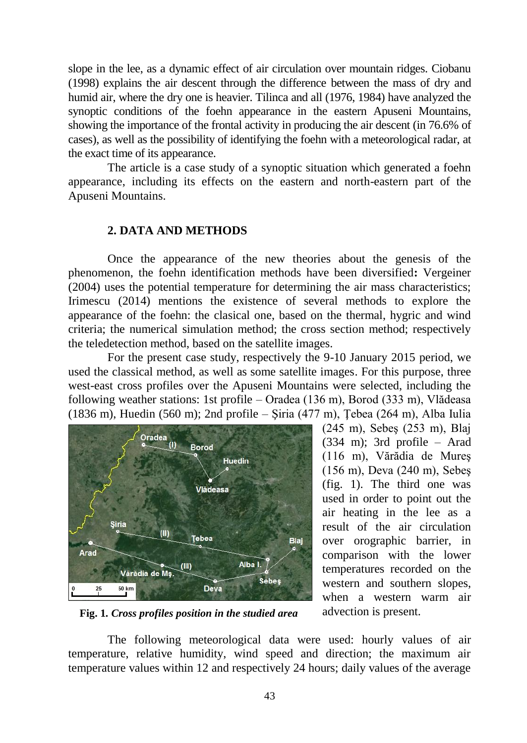slope in the lee, as a dynamic effect of air circulation over mountain ridges. Ciobanu (1998) explains the air descent through the difference between the mass of dry and humid air, where the dry one is heavier. Tilinca and all (1976, 1984) have analyzed the synoptic conditions of the foehn appearance in the eastern Apuseni Mountains, showing the importance of the frontal activity in producing the air descent (in 76.6% of cases), as well as the possibility of identifying the foehn with a meteorological radar, at the exact time of its appearance.

The article is a case study of a synoptic situation which generated a foehn appearance, including its effects on the eastern and north-eastern part of the Apuseni Mountains.

## **2. DATA AND METHODS**

Once the appearance of the new theories about the genesis of the phenomenon, the foehn identification methods have been diversified**:** Vergeiner (2004) uses the potential temperature for determining the air mass characteristics; Irimescu (2014) mentions the existence of several methods to explore the appearance of the foehn: the clasical one, based on the thermal, hygric and wind criteria; the numerical simulation method; the cross section method; respectively the teledetection method, based on the satellite images.

For the present case study, respectively the 9-10 January 2015 period, we used the classical method, as well as some satellite images. For this purpose, three west-east cross profiles over the Apuseni Mountains were selected, including the following weather stations: 1st profile – Oradea (136 m), Borod (333 m), Vlădeasa (1836 m), Huedin (560 m); 2nd profile – Şiria (477 m), Ţebea (264 m), Alba Iulia



(245 m), Sebeş (253 m), Blaj (334 m); 3rd profile – Arad (116 m), Vărădia de Mureş (156 m), Deva (240 m), Sebeş (fig. 1). The third one was used in order to point out the air heating in the lee as a result of the air circulation over orographic barrier, in comparison with the lower temperatures recorded on the western and southern slopes, when a western warm air advection is present.

**Fig. 1***. Cross profiles position in the studied area*

The following meteorological data were used: hourly values of air temperature, relative humidity, wind speed and direction; the maximum air temperature values within 12 and respectively 24 hours; daily values of the average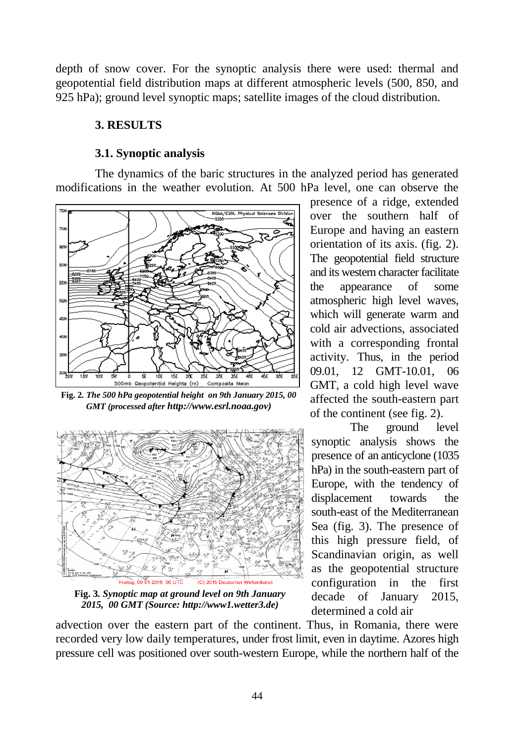depth of snow cover. For the synoptic analysis there were used: thermal and geopotential field distribution maps at different atmospheric levels (500, 850, and 925 hPa); ground level synoptic maps; satellite images of the cloud distribution.

## **3. RESULTS**

### **3.1. Synoptic analysis**

The dynamics of the baric structures in the analyzed period has generated modifications in the weather evolution. At 500 hPa level, one can observe the



**Fig. 2***. The 500 hPa geopotential height on 9th January 2015, 00 GMT (processed after http://www.esrl.noaa.gov)*



**Fig. 3***. Synoptic map at ground level on 9th January 2015, 00 GMT (Source: http://www1.wetter3.de)*

presence of a ridge, extended over the southern half of Europe and having an eastern orientation of its axis. (fig. 2). The geopotential field structure and its western character facilitate the appearance of some atmospheric high level waves, which will generate warm and cold air advections, associated with a corresponding frontal activity. Thus, in the period 09.01, 12 GMT-10.01, 06 GMT, a cold high level wave affected the south-eastern part of the continent (see fig. 2).

The ground level synoptic analysis shows the presence of an anticyclone (1035 hPa) in the south-eastern part of Europe, with the tendency of displacement towards the south-east of the Mediterranean Sea (fig. 3). The presence of this high pressure field, of Scandinavian origin, as well as the geopotential structure configuration in the first decade of January 2015, determined a cold air

advection over the eastern part of the continent. Thus, in Romania, there were recorded very low daily temperatures, under frost limit, even in daytime. Azores high pressure cell was positioned over south-western Europe, while the northern half of the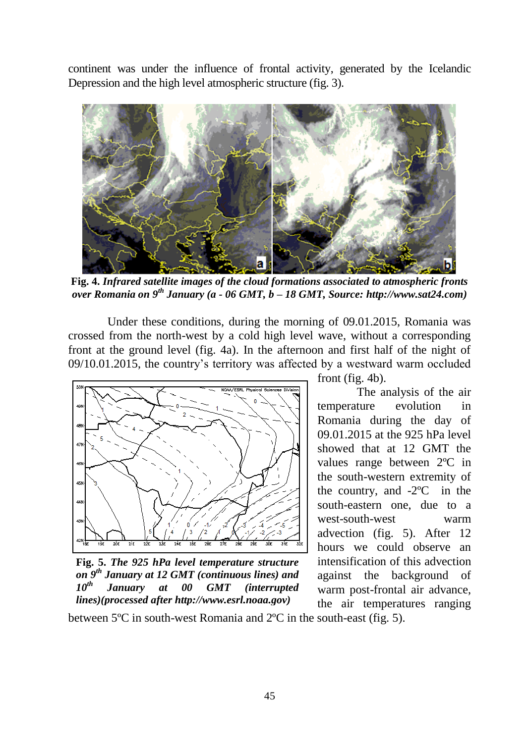continent was under the influence of frontal activity, generated by the Icelandic Depression and the high level atmospheric structure (fig. 3).



**Fig. 4.** *Infrared satellite images of the cloud formations associated to atmospheric fronts over Romania on 9th January (a - 06 GMT, b – 18 GMT, Source: http://www.sat24.com)*

Under these conditions, during the morning of 09.01.2015, Romania was crossed from the north-west by a cold high level wave, without a corresponding front at the ground level (fig. 4a). In the afternoon and first half of the night of 09/10.01.2015, the country's territory was affected by a westward warm occluded



**Fig. 5.** *The 925 hPa level temperature structure on 9th January at 12 GMT (continuous lines) and 10th January at 00 GMT (interrupted lines)(processed after http://www.esrl.noaa.gov)*

front (fig. 4b).

The analysis of the air temperature evolution in Romania during the day of 09.01.2015 at the 925 hPa level showed that at 12 GMT the values range between 2ºC in the south-western extremity of the country, and -2ºC in the south-eastern one, due to a west-south-west warm advection (fig. 5). After 12 hours we could observe an intensification of this advection against the background of warm post-frontal air advance, the air temperatures ranging

between 5ºC in south-west Romania and 2ºC in the south-east (fig. 5).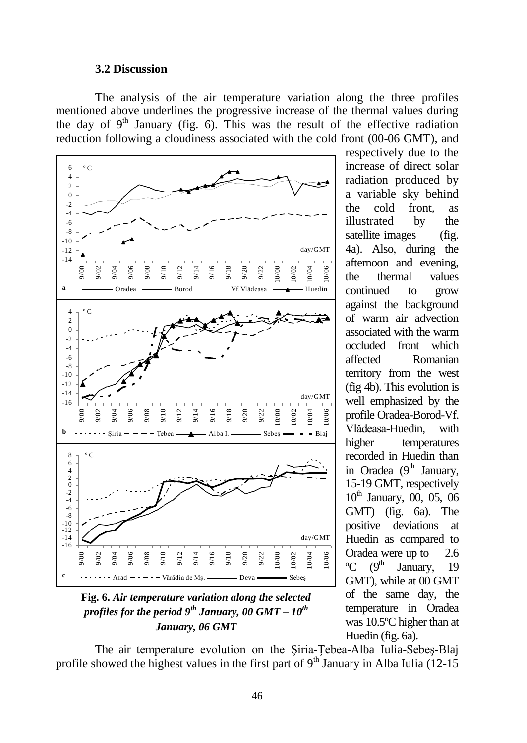#### **3.2 Discussion**

The analysis of the air temperature variation along the three profiles mentioned above underlines the progressive increase of the thermal values during the day of  $9<sup>th</sup>$  January (fig. 6). This was the result of the effective radiation reduction following a cloudiness associated with the cold front (00-06 GMT), and



**Fig. 6.** *Air temperature variation along the selected profiles for the period 9th January, 00 GMT – 10th January, 06 GMT*

respectively due to the increase of direct solar radiation produced by a variable sky behind the cold front, as illustrated by the satellite images (fig. 4a). Also, during the afternoon and evening, the thermal values continued to grow against the background of warm air advection associated with the warm occluded front which affected Romanian territory from the west (fig 4b). This evolution is well emphasized by the profile Oradea-Borod-Vf. Vlădeasa-Huedin, with higher temperatures recorded in Huedin than in Oradea  $(9<sup>th</sup>$  January, 15-19 GMT, respectively  $10^{th}$  January, 00, 05, 06 GMT) (fig. 6a). The positive deviations at Huedin as compared to Oradea were up to 2.6  $\rm{^{\circ}C}$  (9<sup>th</sup> January, 19) GMT), while at 00 GMT of the same day, the temperature in Oradea was 10.5ºC higher than at Huedin (fig. 6a).

The air temperature evolution on the Şiria-Ţebea-Alba Iulia-Sebeş-Blaj profile showed the highest values in the first part of  $9<sup>th</sup>$  January in Alba Iulia (12-15)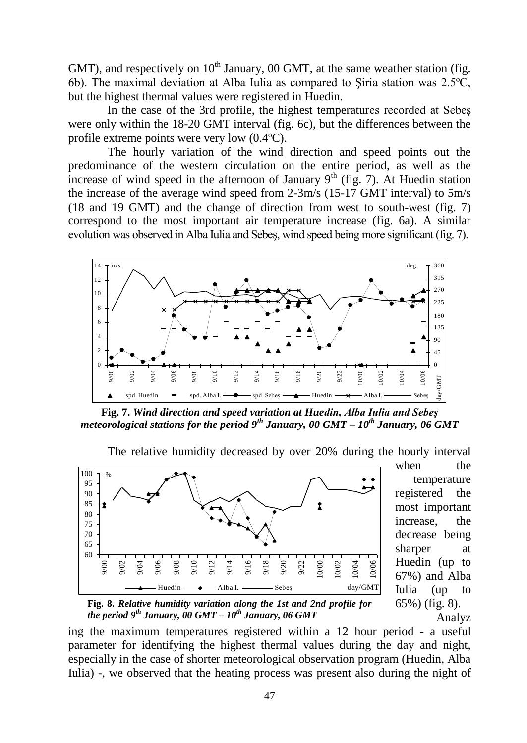GMT), and respectively on  $10<sup>th</sup>$  January, 00 GMT, at the same weather station (fig. 6b). The maximal deviation at Alba Iulia as compared to Şiria station was 2.5ºC, but the highest thermal values were registered in Huedin.

In the case of the 3rd profile, the highest temperatures recorded at Sebeş were only within the 18-20 GMT interval (fig. 6c), but the differences between the profile extreme points were very low (0.4ºC).

The hourly variation of the wind direction and speed points out the predominance of the western circulation on the entire period, as well as the increase of wind speed in the afternoon of January  $9<sup>th</sup>$  (fig. 7). At Huedin station the increase of the average wind speed from 2-3m/s (15-17 GMT interval) to 5m/s (18 and 19 GMT) and the change of direction from west to south-west (fig. 7) correspond to the most important air temperature increase (fig. 6a). A similar evolution was observed in Alba Iulia and Sebeş, wind speed being more significant (fig. 7).



**Fig. 7.** *Wind direction and speed variation at Huedin, Alba Iulia and Sebeş meteorological stations for the period 9th January, 00 GMT – 10th January, 06 GMT*

The relative humidity decreased by over 20% during the hourly interval



when the temperature registered the most important increase, the decrease being sharper at Huedin (up to 67%) and Alba Iulia (up to 65%) (fig. 8). Analyz

**Fig. 8.** *Relative humidity variation along the 1st and 2nd profile for the period 9th January, 00 GMT – 10th January, 06 GMT*

ing the maximum temperatures registered within a 12 hour period - a useful parameter for identifying the highest thermal values during the day and night, especially in the case of shorter meteorological observation program (Huedin, Alba Iulia) -, we observed that the heating process was present also during the night of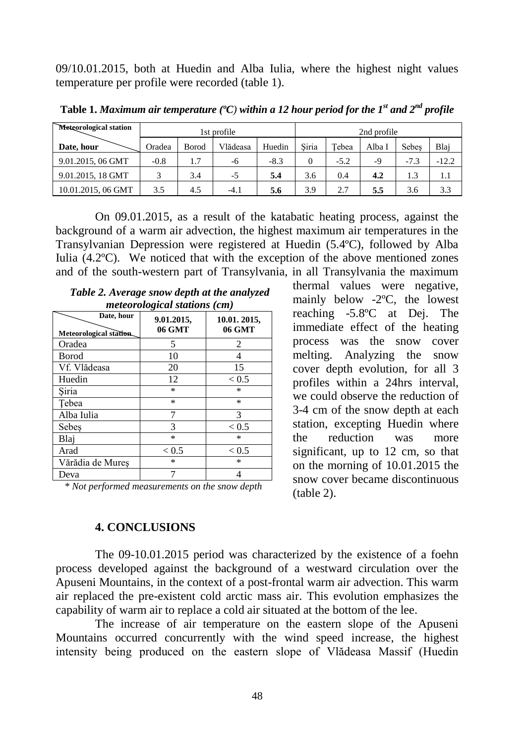09/10.01.2015, both at Huedin and Alba Iulia, where the highest night values temperature per profile were recorded (table 1).

| Meteorological station | 1st profile |       |          |        | 2nd profile |        |        |        |         |
|------------------------|-------------|-------|----------|--------|-------------|--------|--------|--------|---------|
| Date, hour             | Oradea      | Borod | Vlădeasa | Huedin | Siria       | Tebea  | Alba I | Sebes  | Blai    |
| 9.01.2015, 06 GMT      | $-0.8$      | 1.7   | -6       | $-8.3$ |             | $-5.2$ | -9     | $-7.3$ | $-12.2$ |
| 9.01.2015, 18 GMT      |             | 3.4   | -5       | 5.4    | 3.6         | 0.4    | 4.2    | 1.3    | 1.1     |
| 10.01.2015, 06 GMT     | 3.5         | 4.5   | $-4.1$   | 5.6    | 3.9         | 2.7    | 5.5    | 3.6    | 3.3     |

**Table 1.** *Maximum air temperature (ºC) within a 12 hour period for the 1st and 2nd profile*

On 09.01.2015, as a result of the katabatic heating process, against the background of a warm air advection, the highest maximum air temperatures in the Transylvanian Depression were registered at Huedin (5.4ºC), followed by Alba Iulia (4.2ºC). We noticed that with the exception of the above mentioned zones and of the south-western part of Transylvania, in all Transylvania the maximum

| meteorological stations (cm)          |                      |                       |  |  |  |  |  |
|---------------------------------------|----------------------|-----------------------|--|--|--|--|--|
| Date, hour<br>Meteorological station. | 9.01.2015,<br>06 GMT | 10.01.2015,<br>06 GMT |  |  |  |  |  |
| Oradea                                | 5                    | 2                     |  |  |  |  |  |
| Borod                                 | 10                   |                       |  |  |  |  |  |
| Vf. Vlădeasa                          | 20                   | 15                    |  |  |  |  |  |
| Huedin                                | 12                   | ${}_{< 0.5}$          |  |  |  |  |  |
| Siria                                 | $\ast$               | $\ast$                |  |  |  |  |  |
| Tebea                                 | $\ast$               | $\ast$                |  |  |  |  |  |
| Alba Iulia                            |                      | 3                     |  |  |  |  |  |
| Sebes                                 | 3                    | < 0.5                 |  |  |  |  |  |
| Blai                                  | *                    | $\ast$                |  |  |  |  |  |
| Arad                                  | ${}_{< 0.5}$         | ${}_{< 0.5}$          |  |  |  |  |  |
| Vărădia de Mureș                      | *                    | *                     |  |  |  |  |  |
| Deva                                  |                      |                       |  |  |  |  |  |

*Table 2. Average snow depth at the analyzed* 

*\* Not performed measurements on the snow depth*

**4. CONCLUSIONS**

thermal values were negative, mainly below -2ºC, the lowest reaching -5.8ºC at Dej. The immediate effect of the heating process was the snow cover melting. Analyzing the snow cover depth evolution, for all 3 profiles within a 24hrs interval, we could observe the reduction of 3-4 cm of the snow depth at each station, excepting Huedin where the reduction was more significant, up to 12 cm, so that on the morning of 10.01.2015 the snow cover became discontinuous (table 2).

The 09-10.01.2015 period was characterized by the existence of a foehn process developed against the background of a westward circulation over the Apuseni Mountains, in the context of a post-frontal warm air advection. This warm air replaced the pre-existent cold arctic mass air. This evolution emphasizes the capability of warm air to replace a cold air situated at the bottom of the lee.

The increase of air temperature on the eastern slope of the Apuseni Mountains occurred concurrently with the wind speed increase, the highest intensity being produced on the eastern slope of Vlădeasa Massif (Huedin